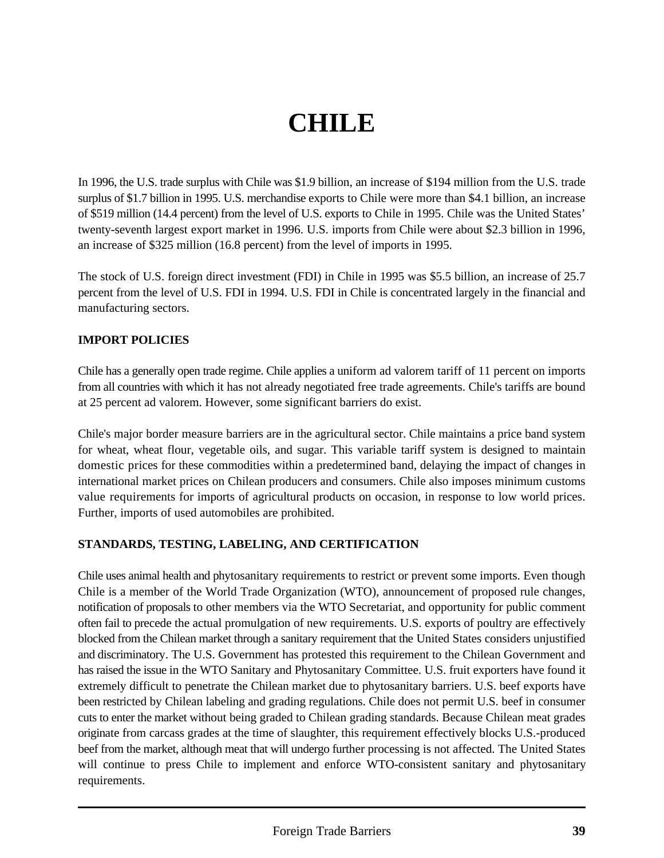# **CHILE**

In 1996, the U.S. trade surplus with Chile was \$1.9 billion, an increase of \$194 million from the U.S. trade surplus of \$1.7 billion in 1995. U.S. merchandise exports to Chile were more than \$4.1 billion, an increase of \$519 million (14.4 percent) from the level of U.S. exports to Chile in 1995. Chile was the United States' twenty-seventh largest export market in 1996. U.S. imports from Chile were about \$2.3 billion in 1996, an increase of \$325 million (16.8 percent) from the level of imports in 1995.

The stock of U.S. foreign direct investment (FDI) in Chile in 1995 was \$5.5 billion, an increase of 25.7 percent from the level of U.S. FDI in 1994. U.S. FDI in Chile is concentrated largely in the financial and manufacturing sectors.

#### **IMPORT POLICIES**

Chile has a generally open trade regime. Chile applies a uniform ad valorem tariff of 11 percent on imports from all countries with which it has not already negotiated free trade agreements. Chile's tariffs are bound at 25 percent ad valorem. However, some significant barriers do exist.

Chile's major border measure barriers are in the agricultural sector. Chile maintains a price band system for wheat, wheat flour, vegetable oils, and sugar. This variable tariff system is designed to maintain domestic prices for these commodities within a predetermined band, delaying the impact of changes in international market prices on Chilean producers and consumers. Chile also imposes minimum customs value requirements for imports of agricultural products on occasion, in response to low world prices. Further, imports of used automobiles are prohibited.

#### **STANDARDS, TESTING, LABELING, AND CERTIFICATION**

Chile uses animal health and phytosanitary requirements to restrict or prevent some imports. Even though Chile is a member of the World Trade Organization (WTO), announcement of proposed rule changes, notification of proposals to other members via the WTO Secretariat, and opportunity for public comment often fail to precede the actual promulgation of new requirements. U.S. exports of poultry are effectively blocked from the Chilean market through a sanitary requirement that the United States considers unjustified and discriminatory. The U.S. Government has protested this requirement to the Chilean Government and has raised the issue in the WTO Sanitary and Phytosanitary Committee. U.S. fruit exporters have found it extremely difficult to penetrate the Chilean market due to phytosanitary barriers. U.S. beef exports have been restricted by Chilean labeling and grading regulations. Chile does not permit U.S. beef in consumer cuts to enter the market without being graded to Chilean grading standards. Because Chilean meat grades originate from carcass grades at the time of slaughter, this requirement effectively blocks U.S.-produced beef from the market, although meat that will undergo further processing is not affected. The United States will continue to press Chile to implement and enforce WTO-consistent sanitary and phytosanitary requirements.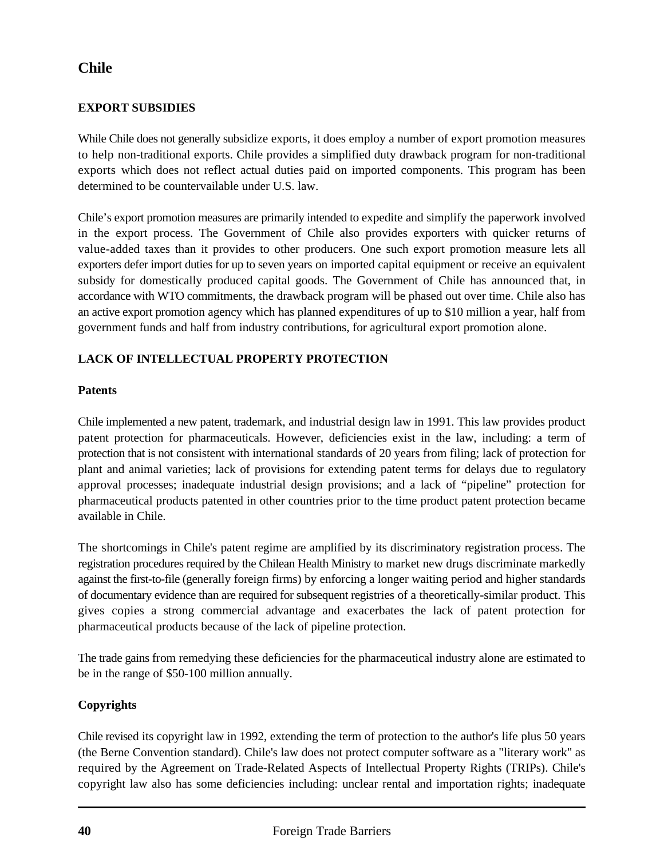# **Chile**

### **EXPORT SUBSIDIES**

While Chile does not generally subsidize exports, it does employ a number of export promotion measures to help non-traditional exports. Chile provides a simplified duty drawback program for non-traditional exports which does not reflect actual duties paid on imported components. This program has been determined to be countervailable under U.S. law.

Chile's export promotion measures are primarily intended to expedite and simplify the paperwork involved in the export process. The Government of Chile also provides exporters with quicker returns of value-added taxes than it provides to other producers. One such export promotion measure lets all exporters defer import duties for up to seven years on imported capital equipment or receive an equivalent subsidy for domestically produced capital goods. The Government of Chile has announced that, in accordance with WTO commitments, the drawback program will be phased out over time. Chile also has an active export promotion agency which has planned expenditures of up to \$10 million a year, half from government funds and half from industry contributions, for agricultural export promotion alone.

# **LACK OF INTELLECTUAL PROPERTY PROTECTION**

#### **Patents**

Chile implemented a new patent, trademark, and industrial design law in 1991. This law provides product patent protection for pharmaceuticals. However, deficiencies exist in the law, including: a term of protection that is not consistent with international standards of 20 years from filing; lack of protection for plant and animal varieties; lack of provisions for extending patent terms for delays due to regulatory approval processes; inadequate industrial design provisions; and a lack of "pipeline" protection for pharmaceutical products patented in other countries prior to the time product patent protection became available in Chile.

The shortcomings in Chile's patent regime are amplified by its discriminatory registration process. The registration procedures required by the Chilean Health Ministry to market new drugs discriminate markedly against the first-to-file (generally foreign firms) by enforcing a longer waiting period and higher standards of documentary evidence than are required for subsequent registries of a theoretically-similar product. This gives copies a strong commercial advantage and exacerbates the lack of patent protection for pharmaceutical products because of the lack of pipeline protection.

The trade gains from remedying these deficiencies for the pharmaceutical industry alone are estimated to be in the range of \$50-100 million annually.

#### **Copyrights**

Chile revised its copyright law in 1992, extending the term of protection to the author's life plus 50 years (the Berne Convention standard). Chile's law does not protect computer software as a "literary work" as required by the Agreement on Trade-Related Aspects of Intellectual Property Rights (TRIPs). Chile's copyright law also has some deficiencies including: unclear rental and importation rights; inadequate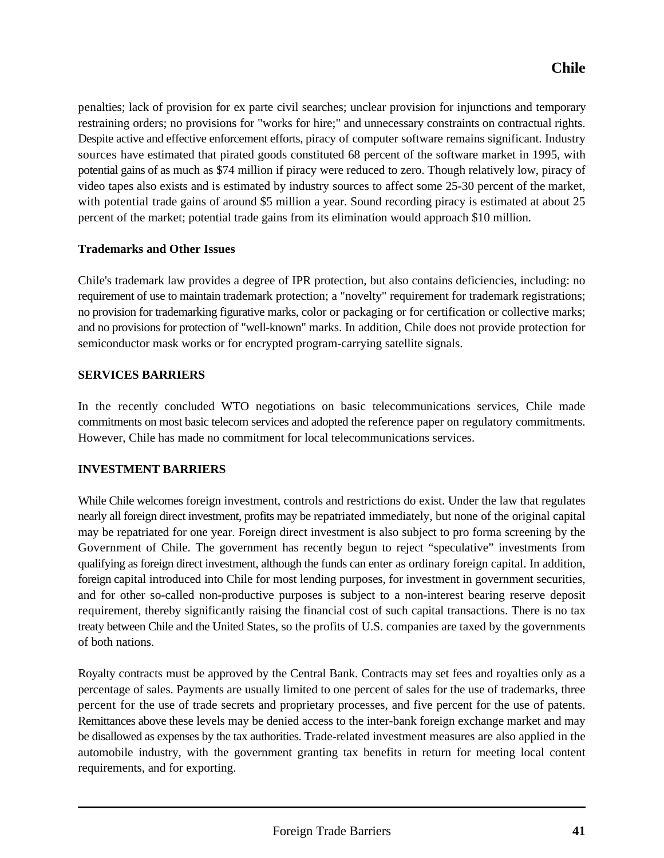penalties; lack of provision for ex parte civil searches; unclear provision for injunctions and temporary restraining orders; no provisions for "works for hire;" and unnecessary constraints on contractual rights. Despite active and effective enforcement efforts, piracy of computer software remains significant. Industry sources have estimated that pirated goods constituted 68 percent of the software market in 1995, with potential gains of as much as \$74 million if piracy were reduced to zero. Though relatively low, piracy of video tapes also exists and is estimated by industry sources to affect some 25-30 percent of the market, with potential trade gains of around \$5 million a year. Sound recording piracy is estimated at about 25 percent of the market; potential trade gains from its elimination would approach \$10 million.

# **Trademarks and Other Issues**

Chile's trademark law provides a degree of IPR protection, but also contains deficiencies, including: no requirement of use to maintain trademark protection; a "novelty" requirement for trademark registrations; no provision for trademarking figurative marks, color or packaging or for certification or collective marks; and no provisions for protection of "well-known" marks. In addition, Chile does not provide protection for semiconductor mask works or for encrypted program-carrying satellite signals.

# **SERVICES BARRIERS**

In the recently concluded WTO negotiations on basic telecommunications services, Chile made commitments on most basic telecom services and adopted the reference paper on regulatory commitments. However, Chile has made no commitment for local telecommunications services.

#### **INVESTMENT BARRIERS**

While Chile welcomes foreign investment, controls and restrictions do exist. Under the law that regulates nearly all foreign direct investment, profits may be repatriated immediately, but none of the original capital may be repatriated for one year. Foreign direct investment is also subject to pro forma screening by the Government of Chile. The government has recently begun to reject "speculative" investments from qualifying as foreign direct investment, although the funds can enter as ordinary foreign capital. In addition, foreign capital introduced into Chile for most lending purposes, for investment in government securities, and for other so-called non-productive purposes is subject to a non-interest bearing reserve deposit requirement, thereby significantly raising the financial cost of such capital transactions. There is no tax treaty between Chile and the United States, so the profits of U.S. companies are taxed by the governments of both nations.

Royalty contracts must be approved by the Central Bank. Contracts may set fees and royalties only as a percentage of sales. Payments are usually limited to one percent of sales for the use of trademarks, three percent for the use of trade secrets and proprietary processes, and five percent for the use of patents. Remittances above these levels may be denied access to the inter-bank foreign exchange market and may be disallowed as expenses by the tax authorities. Trade-related investment measures are also applied in the automobile industry, with the government granting tax benefits in return for meeting local content requirements, and for exporting.